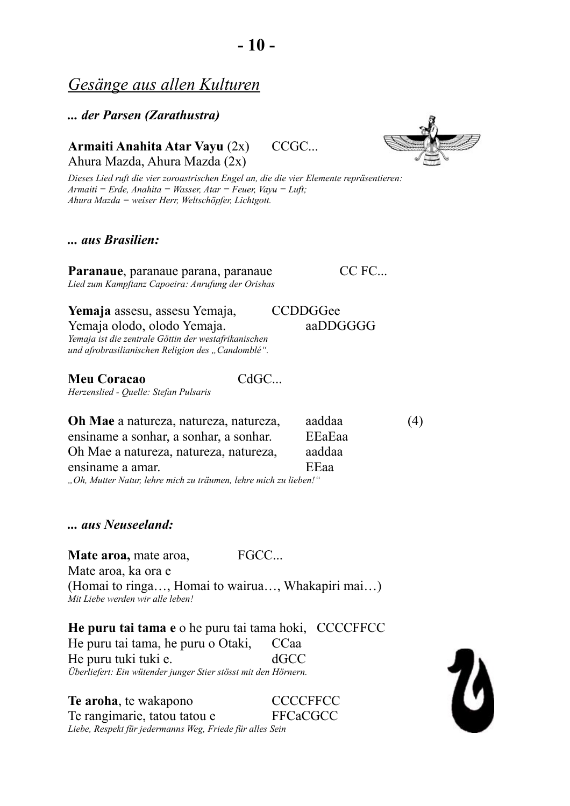# *Gesänge aus allen Kulturen*

#### *... der Parsen (Zarathustra)*

## **Armaiti Anahita Atar Vayu** (2x) CCGC... Ahura Mazda, Ahura Mazda (2x)



*Dieses Lied ruft die vier zoroastrischen Engel an, die die vier Elemente repräsentieren: Armaiti = Erde, Anahita = Wasser, Atar = Feuer, Vayu = Luft; Ahura Mazda = weiser Herr, Weltschöpfer, Lichtgott.*

### *... aus Brasilien:*

Paranaue, paranaue parana, paranaue CC FC... *Lied zum Kampftanz Capoeira: Anrufung der Orishas*

Yemaja assesu, assesu Yemaja, CCDDGGee

Yemaja olodo, olodo Yemaja. aaDDGGGG *Yemaja ist die zentrale Göttin der westafrikanischen*

*und afrobrasilianischen Religion des "Candomblé".*

**Meu Coracao** CdGC... *Herzenslied - Quelle: Stefan Pulsaris*

**Oh Mae** a natureza, natureza, natureza, aaddaa (4) ensiname a sonhar, a sonhar, a sonhar. EEaEaa Oh Mae a natureza, natureza, natureza, aaddaa ensiname a amar. EEaa

*"Oh, Mutter Natur, lehre mich zu träumen, lehre mich zu lieben!"*

*... aus Neuseeland:*

**Mate aroa, mate aroa, FGCC...** Mate aroa, ka ora e (Homai to ringa…, Homai to wairua…, Whakapiri mai…) *Mit Liebe werden wir alle leben!*

**He puru tai tama e** o he puru tai tama hoki, CCCCFFCC He puru tai tama, he puru o Otaki, CCaa He puru tuki tuki e. dGCC *Überliefert: Ein wütender junger Stier stösst mit den Hörnern.*

**Te aroha**, te wakapono **CCCCFFCC** Te rangimarie, tatou tatou e FFCaCGCC *Liebe, Respekt für jedermanns Weg, Friede für alles Sein*

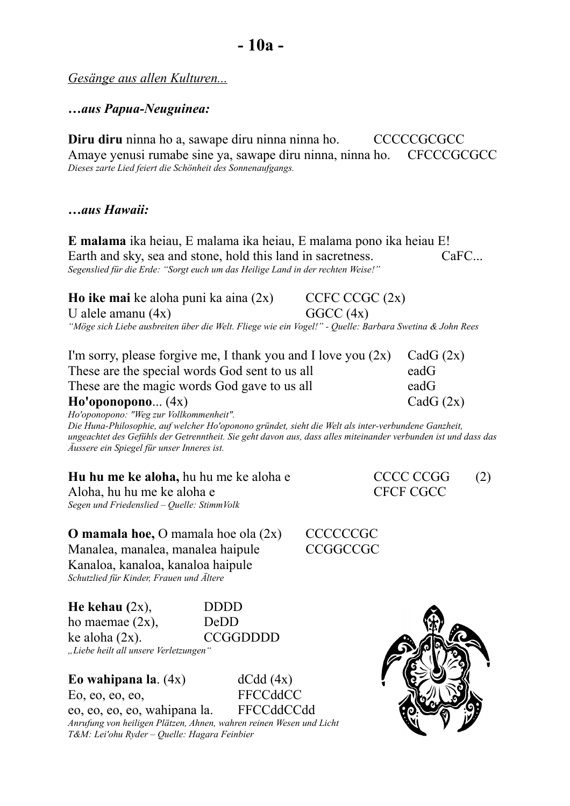*Gesänge aus allen Kulturen...*

**…***aus Papua-Neuguinea:*

**Diru diru** ninna ho a, sawape diru ninna ninna ho. CCCCCGCGCC Amaye yenusi rumabe sine ya, sawape diru ninna, ninna ho. CFCCCGCGCC *Dieses zarte Lied feiert die Schönheit des Sonnenaufgangs.*

## *…aus Hawaii:*

**E malama** ika heiau, E malama ika heiau, E malama pono ika heiau E! Earth and sky, sea and stone, hold this land in sacretness. CaFC... *Segenslied für die Erde: "Sorgt euch um das Heilige Land in der rechten Weise!"*

**Ho ike mai ke aloha puni ka aina**  $(2x)$  **CCFC CCGC**  $(2x)$ U alele amanu  $(4x)$  GGCC  $(4x)$ *"Möge sich Liebe ausbreiten über die Welt. Fliege wie ein Vogel!" - Quelle: Barbara Swetina & John Rees* 

| I'm sorry, please forgive me, I thank you and I love you $(2x)$ CadG $(2x)$ |             |
|-----------------------------------------------------------------------------|-------------|
| These are the special words God sent to us all                              | eadG        |
| These are the magic words God gave to us all                                | $e$ ad $G$  |
| Ho'oponopono (4x)                                                           | CadG $(2x)$ |
|                                                                             |             |

*Ho'oponopono: "Weg zur Vollkommenheit". Die Huna-Philosophie, auf welcher Ho'oponono gründet, sieht die Welt als inter-verbundene Ganzheit, ungeachtet des Gefühls der Getrenntheit. Sie geht davon aus, dass alles miteinander verbunden ist und dass das Äussere ein Spiegel für unser Inneres ist.*

**Hu hu me ke aloha,** hu hu me ke aloha e CCCC CCGG (2) Aloha, hu hu me ke aloha e CFCF CGCC *Segen und Friedenslied – Quelle: StimmVolk*

**O mamala hoe, O mamala hoe ola (2x) CCCCCCGC** Manalea, manalea, manalea haipule CCGGCCGC Kanaloa, kanaloa, kanaloa haipule *Schutzlied für Kinder, Frauen und Ältere*

**He kehau (**2x), DDDD ho maemae  $(2x)$ , DeDD  $ke$  aloha  $(2x)$ . CCGGDDDD *"Liebe heilt all unsere Verletzungen"*

Eo wahipana la.  $(4x)$  dCdd  $(4x)$ Eo, eo, eo, eo, FFCCddCC

eo, eo, eo, eo, wahipana la. FFCCddCCdd *Anrufung von heiligen Plätzen, Ahnen, wahren reinen Wesen und Licht T&M: Lei'ohu Ryder – Quelle: Hagara Feinbier*

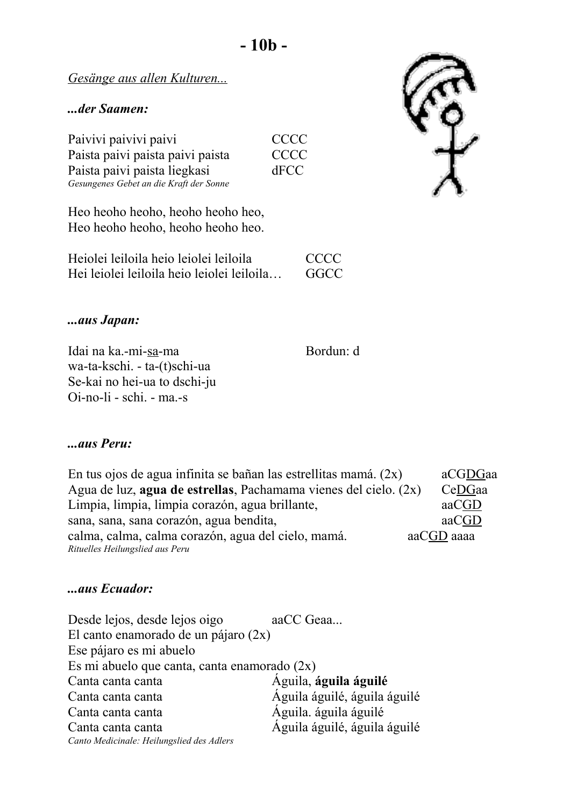**- 10b -**

*Gesänge aus allen Kulturen...*

### *...der Saamen:*

| Paivivi paivivi paivi                   | <b>CCCC</b> |
|-----------------------------------------|-------------|
| Paista paivi paista paivi paista        | <b>CCCC</b> |
| Paista paivi paista liegkasi            | dFCC        |
| Gesungenes Gebet an die Kraft der Sonne |             |

Heo heoho heoho, heoho heoho heo, Heo heoho heoho, heoho heoho heo.

| Heiolei leiloila heio leiolei leiloila     | <b>CCCC</b> |
|--------------------------------------------|-------------|
| Hei leiolei leiloila heio leiolei leiloila | GGCC        |

## *...aus Japan:*

Idai na ka.-mi-sa-ma Bordun: d wa-ta-kschi. - ta-(t)schi-ua Se-kai no hei-ua to dschi-ju Oi-no-li - schi. - ma.-s

#### *...aus Peru:*

En tus ojos de agua infinita se bañan las estrellitas mamá.  $(2x)$  aCGDGaa Agua de luz, **agua de estrellas**, Pachamama vienes del cielo. (2x) CeDGaa Limpia, limpia, limpia corazón, agua brillante, actual afactores and alle and all and all and all and all and a sana, sana, sana corazón, agua bendita, and a corazón anticorrected as corazón anticorrected as corazón antico calma, calma, calma corazón, agua del cielo, mamá. aaCGD aaaa *Rituelles Heilungslied aus Peru*

## *...aus Ecuador:*

| Desde lejos, desde lejos oigo                  | aaCC Geaa                    |  |
|------------------------------------------------|------------------------------|--|
| El canto enamorado de un pájaro $(2x)$         |                              |  |
| Ese pájaro es mi abuelo                        |                              |  |
| Es mi abuelo que canta, canta enamorado $(2x)$ |                              |  |
| Canta canta canta                              | Aguila, águila águilé        |  |
| Canta canta canta                              | Águila águilé, águila águilé |  |
| Canta canta canta                              | Aguila. águila águilé        |  |
| Canta canta canta                              | Águila águilé, águila águilé |  |
| Canto Medicinale: Heilungslied des Adlers      |                              |  |